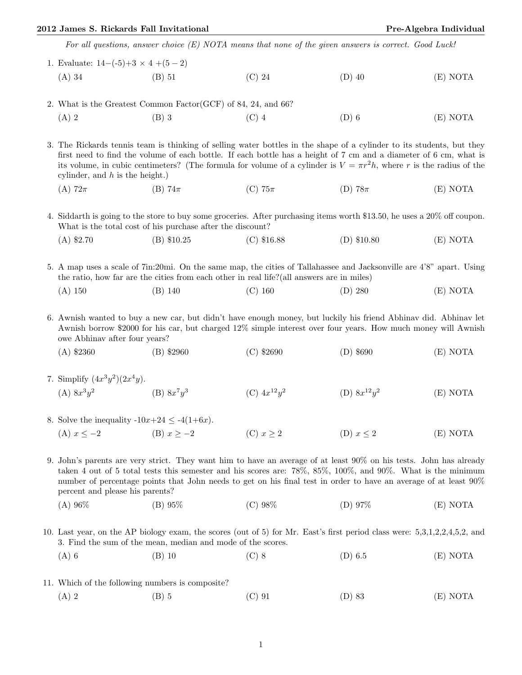## 2012 James S. Rickards Fall Invitational **Pre-Algebra Individual** Pre-Algebra Individual

For all questions, answer choice (E) NOTA means that none of the given answers is correct. Good Luck!

- 1. Evaluate:  $14-(-5)+3 \times 4+(5-2)$ (A) 34 (B) 51 (C) 24 (D) 40 (E) NOTA
- 2. What is the Greatest Common Factor(GCF) of 84, 24, and 66? (A) 2 (B) 3 (C) 4 (D) 6 (E) NOTA

3. The Rickards tennis team is thinking of selling water bottles in the shape of a cylinder to its students, but they first need to find the volume of each bottle. If each bottle has a height of 7 cm and a diameter of 6 cm, what is its volume, in cubic centimeters? (The formula for volume of a cylinder is  $V = \pi r^2 h$ , where r is the radius of the cylinder, and  $h$  is the height.)

(A) 72 $\pi$  (B) 74 $\pi$  (C) 75 $\pi$  (D) 78 $\pi$  (E) NOTA

4. Siddarth is going to the store to buy some groceries. After purchasing items worth \$13.50, he uses a 20% off coupon. What is the total cost of his purchase after the discount?

(A) \$2.70 (B) \$10.25 (C) \$16.88 (D) \$10.80 (E) NOTA

5. A map uses a scale of 7in:20mi. On the same map, the cities of Tallahassee and Jacksonville are 4'8" apart. Using the ratio, how far are the cities from each other in real life?(all answers are in miles)

(A) 150 (B) 140 (C) 160 (D) 280 (E) NOTA

6. Awnish wanted to buy a new car, but didn't have enough money, but luckily his friend Abhinav did. Abhinav let Awnish borrow \$2000 for his car, but charged 12% simple interest over four years. How much money will Awnish owe Abhinav after four years?

- (A) \$2360 (B) \$2960 (C) \$2690 (D) \$690 (E) NOTA
- 7. Simplify  $(4x^3y^2)(2x^4y)$ .  $(A) 8x^3y^2$ (B)  $8x^7y^3$  $(C)$  4 $x^{12}y^2$ (D)  $8x^{12}y^2$ (E) NOTA
- 8. Solve the inequality  $-10x+24 \le -4(1+6x)$ . (A)  $x \le -2$  (B)  $x \ge -2$  (C)  $x \ge 2$  (D)  $x \le 2$  (E) NOTA

9. John's parents are very strict. They want him to have an average of at least 90% on his tests. John has already taken 4 out of 5 total tests this semester and his scores are: 78%, 85%, 100%, and 90%. What is the minimum number of percentage points that John needs to get on his final test in order to have an average of at least 90% percent and please his parents?

(A) 96% (B) 95% (C) 98% (D) 97% (E) NOTA

10. Last year, on the AP biology exam, the scores (out of 5) for Mr. East's first period class were: 5,3,1,2,2,4,5,2, and 3. Find the sum of the mean, median and mode of the scores.

- (A) 6 (B) 10 (C) 8 (D) 6.5 (E) NOTA
- 11. Which of the following numbers is composite?
	- (A) 2 (B) 5 (C) 91 (D) 83 (E) NOTA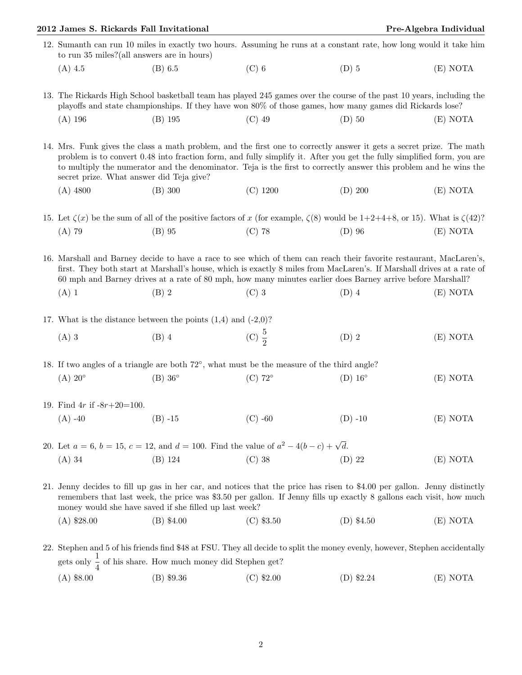|  |                                                                                                                                                                                                                                                                                                                                                                                                                 | 2012 James S. Rickards Fall Invitational                              |                                                                                                                             | Pre-Algebra Individual |          |  |  |  |
|--|-----------------------------------------------------------------------------------------------------------------------------------------------------------------------------------------------------------------------------------------------------------------------------------------------------------------------------------------------------------------------------------------------------------------|-----------------------------------------------------------------------|-----------------------------------------------------------------------------------------------------------------------------|------------------------|----------|--|--|--|
|  | 12. Sumanth can run 10 miles in exactly two hours. Assuming he runs at a constant rate, how long would it take him<br>to run 35 miles?(all answers are in hours)                                                                                                                                                                                                                                                |                                                                       |                                                                                                                             |                        |          |  |  |  |
|  | $(A)$ 4.5                                                                                                                                                                                                                                                                                                                                                                                                       | $(B)$ 6.5                                                             | $(C)$ 6                                                                                                                     | $(D)$ 5                | (E) NOTA |  |  |  |
|  | 13. The Rickards High School basketball team has played 245 games over the course of the past 10 years, including the<br>playoffs and state championships. If they have won 80% of those games, how many games did Rickards lose?                                                                                                                                                                               |                                                                       |                                                                                                                             |                        |          |  |  |  |
|  | $(A)$ 196                                                                                                                                                                                                                                                                                                                                                                                                       | $(B)$ 195                                                             | $(C)$ 49                                                                                                                    | $(D)$ 50               | (E) NOTA |  |  |  |
|  | 14. Mrs. Funk gives the class a math problem, and the first one to correctly answer it gets a secret prize. The math<br>problem is to convert 0.48 into fraction form, and fully simplify it. After you get the fully simplified form, you are<br>to multiply the numerator and the denominator. Teja is the first to correctly answer this problem and he wins the<br>secret prize. What answer did Teja give? |                                                                       |                                                                                                                             |                        |          |  |  |  |
|  | $(A)$ 4800                                                                                                                                                                                                                                                                                                                                                                                                      | $(B)$ 300                                                             | $(C)$ 1200                                                                                                                  | $(D)$ 200              | (E) NOTA |  |  |  |
|  | 15. Let $\zeta(x)$ be the sum of all of the positive factors of x (for example, $\zeta(8)$ ) would be 1+2+4+8, or 15). What is $\zeta(42)$ ?                                                                                                                                                                                                                                                                    |                                                                       |                                                                                                                             |                        |          |  |  |  |
|  | $(A)$ 79                                                                                                                                                                                                                                                                                                                                                                                                        | $(B)$ 95                                                              | $(C)$ 78                                                                                                                    | $(D)$ 96               | (E) NOTA |  |  |  |
|  | 16. Marshall and Barney decide to have a race to see which of them can reach their favorite restaurant, MacLaren's,<br>first. They both start at Marshall's house, which is exactly 8 miles from MacLaren's. If Marshall drives at a rate of<br>60 mph and Barney drives at a rate of 80 mph, how many minutes earlier does Barney arrive before Marshall?                                                      |                                                                       |                                                                                                                             |                        |          |  |  |  |
|  | $(A)$ 1                                                                                                                                                                                                                                                                                                                                                                                                         | $(B)$ 2                                                               | $(C)$ 3                                                                                                                     | $(D)$ 4                | (E) NOTA |  |  |  |
|  | 17. What is the distance between the points $(1,4)$ and $(-2,0)$ ?                                                                                                                                                                                                                                                                                                                                              |                                                                       |                                                                                                                             |                        |          |  |  |  |
|  | $(A)$ 3                                                                                                                                                                                                                                                                                                                                                                                                         | $(B)$ 4                                                               | (C) $\frac{5}{2}$                                                                                                           | $(D)$ 2                | (E) NOTA |  |  |  |
|  | 18. If two angles of a triangle are both $72^{\circ}$ , what must be the measure of the third angle?                                                                                                                                                                                                                                                                                                            |                                                                       |                                                                                                                             |                        |          |  |  |  |
|  | $(A) 20^\circ$                                                                                                                                                                                                                                                                                                                                                                                                  | $(B)$ 36 $^{\circ}$                                                   | $(C)$ 72°                                                                                                                   | $(D)$ 16 $\circ$       | (E) NOTA |  |  |  |
|  | 19. Find $4r$ if $-8r+20=100$ .                                                                                                                                                                                                                                                                                                                                                                                 |                                                                       |                                                                                                                             |                        |          |  |  |  |
|  | $(A) -40$                                                                                                                                                                                                                                                                                                                                                                                                       | $(B) -15$                                                             | $(C)$ -60                                                                                                                   | $(D) -10$              | (E) NOTA |  |  |  |
|  | 20. Let $a = 6$ , $b = 15$ , $c = 12$ , and $d = 100$ . Find the value of $a^2 - 4(b - c) + \sqrt{d}$ .                                                                                                                                                                                                                                                                                                         |                                                                       |                                                                                                                             |                        |          |  |  |  |
|  | $(A)$ 34                                                                                                                                                                                                                                                                                                                                                                                                        | $(B)$ 124                                                             | $(C)$ 38                                                                                                                    | $(D)$ 22               | (E) NOTA |  |  |  |
|  | 21. Jenny decides to fill up gas in her car, and notices that the price has risen to \$4.00 per gallon. Jenny distinctly<br>remembers that last week, the price was \$3.50 per gallon. If Jenny fills up exactly 8 gallons each visit, how much<br>money would she have saved if she filled up last week?                                                                                                       |                                                                       |                                                                                                                             |                        |          |  |  |  |
|  | $(A)$ \$28.00                                                                                                                                                                                                                                                                                                                                                                                                   | $(B)$ \$4.00                                                          | $(C)$ \$3.50                                                                                                                | $(D)$ \$4.50           | (E) NOTA |  |  |  |
|  |                                                                                                                                                                                                                                                                                                                                                                                                                 | gets only $\frac{1}{4}$ of his share. How much money did Stephen get? | 22. Stephen and 5 of his friends find \$48 at FSU. They all decide to split the money evenly, however, Stephen accidentally |                        |          |  |  |  |

(A) \$8.00 (B) \$9.36 (C) \$2.00 (D) \$2.24 (E) NOTA